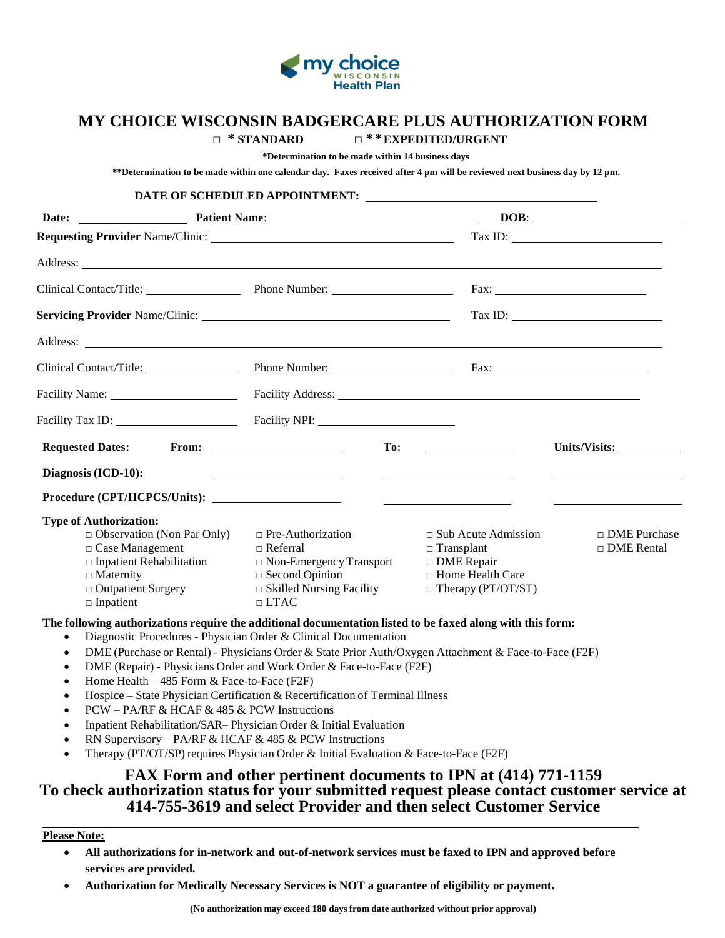

## **MY CHOICE WISCONSIN BADGERCARE PLUS AUTHORIZATION FORM**

**DATE OF SCHEDULED APPOINTMENT:** 

 **□ \* STANDARD □ \*\*EXPEDITED/URGENT** 

**\*Determination to be made within 14 business days**

**\*\*Determination to be made within one calendar day. Faxes received after 4 pm will be reviewed next business day by 12 pm.**

|                                                                                                                                                                                                                                                                                                                                                                             | DATE OF SCHEDULED APPOINTMENT:                                                                                                                                                                                                                                                                                                                                                                                                                                                                  |                                                                                                                         |                                                                                                                                                                                                                                                                                                                                                                                                                                                                                                                                                              |
|-----------------------------------------------------------------------------------------------------------------------------------------------------------------------------------------------------------------------------------------------------------------------------------------------------------------------------------------------------------------------------|-------------------------------------------------------------------------------------------------------------------------------------------------------------------------------------------------------------------------------------------------------------------------------------------------------------------------------------------------------------------------------------------------------------------------------------------------------------------------------------------------|-------------------------------------------------------------------------------------------------------------------------|--------------------------------------------------------------------------------------------------------------------------------------------------------------------------------------------------------------------------------------------------------------------------------------------------------------------------------------------------------------------------------------------------------------------------------------------------------------------------------------------------------------------------------------------------------------|
|                                                                                                                                                                                                                                                                                                                                                                             |                                                                                                                                                                                                                                                                                                                                                                                                                                                                                                 |                                                                                                                         |                                                                                                                                                                                                                                                                                                                                                                                                                                                                                                                                                              |
| <b>Requesting Provider Name/Clinic:</b> Name and Secretary Annual Secretary Annual Secretary Annual Secretary Annual Secretary Annual Secretary Annual Secretary Annual Secretary Annual Secretary Annual Secretary Annual Secretar                                                                                                                                         |                                                                                                                                                                                                                                                                                                                                                                                                                                                                                                 |                                                                                                                         | $\boxed{\text{Tax ID:}\n \underline{\hspace{2cm}}\n \underline{\hspace{2cm}}\n \underline{\hspace{2cm}}\n \underline{\hspace{2cm}}\n \underline{\hspace{2cm}}\n \underline{\hspace{2cm}}\n \underline{\hspace{2cm}}\n \underline{\hspace{2cm}}\n \underline{\hspace{2cm}}\n \underline{\hspace{2cm}}\n \underline{\hspace{2cm}}\n \underline{\hspace{2cm}}\n \underline{\hspace{2cm}}\n \underline{\hspace{2cm}}\n \underline{\hspace{2cm}}\n \underline{\hspace{2cm}}\n \underline{\hspace{2cm}}\n \underline{\hspace{2cm}}\n \underline{\hspace{2cm}}\n \$ |
| Address: Andreas Address: Address: Address: Address: Address: Address: Address: Address: Address: Address: Address: Address: Address: Address: Address: Address: Address: Address: Address: Address: Address: Address: Address                                                                                                                                              |                                                                                                                                                                                                                                                                                                                                                                                                                                                                                                 |                                                                                                                         |                                                                                                                                                                                                                                                                                                                                                                                                                                                                                                                                                              |
| Clinical Contact/Title: Phone Number:                                                                                                                                                                                                                                                                                                                                       |                                                                                                                                                                                                                                                                                                                                                                                                                                                                                                 |                                                                                                                         |                                                                                                                                                                                                                                                                                                                                                                                                                                                                                                                                                              |
|                                                                                                                                                                                                                                                                                                                                                                             |                                                                                                                                                                                                                                                                                                                                                                                                                                                                                                 |                                                                                                                         | $\boxed{\text{Tax ID:}\qquad \qquad }\qquad \qquad ~~\qquad \qquad ~~\qquad \qquad ~~\qquad \qquad ~~\qquad \qquad ~~\qquad \qquad ~~\qquad \qquad ~~\qquad \qquad ~~\qquad \qquad ~~\qquad \qquad ~~\qquad \qquad ~~\qquad \qquad ~~\qquad \qquad ~~\qquad \qquad ~~\qquad \qquad ~~\qquad \qquad ~~\qquad \qquad ~~\qquad \qquad ~~\qquad \qquad ~~\qquad \qquad ~~\qquad \qquad ~~\qquad \qquad ~~\qquad \qquad ~~\qquad \qquad ~~\qquad \qquad ~~\qquad \qquad ~~\qquad \qquad ~~\qquad \qquad ~~\qquad \qquad ~~\qquad$                                 |
| Address: <u>the contract of the contract of the contract of the contract of the contract of the contract of the contract of the contract of the contract of the contract of the contract of the contract of the contract of the </u>                                                                                                                                        |                                                                                                                                                                                                                                                                                                                                                                                                                                                                                                 |                                                                                                                         |                                                                                                                                                                                                                                                                                                                                                                                                                                                                                                                                                              |
| Clinical Contact/Title:                                                                                                                                                                                                                                                                                                                                                     |                                                                                                                                                                                                                                                                                                                                                                                                                                                                                                 |                                                                                                                         |                                                                                                                                                                                                                                                                                                                                                                                                                                                                                                                                                              |
|                                                                                                                                                                                                                                                                                                                                                                             | Facility Address: The Community of the Community of the Community of the Community of the Community of the Community of the Community of the Community of the Community of the Community of the Community of the Community of                                                                                                                                                                                                                                                                   |                                                                                                                         |                                                                                                                                                                                                                                                                                                                                                                                                                                                                                                                                                              |
|                                                                                                                                                                                                                                                                                                                                                                             |                                                                                                                                                                                                                                                                                                                                                                                                                                                                                                 |                                                                                                                         |                                                                                                                                                                                                                                                                                                                                                                                                                                                                                                                                                              |
| <b>Requested Dates:</b>                                                                                                                                                                                                                                                                                                                                                     | From: The contract of the contract of the contract of the contract of the contract of the contract of the contract of the contract of the contract of the contract of the contract of the contract of the contract of the cont<br>To:                                                                                                                                                                                                                                                           |                                                                                                                         | Units/Visits:                                                                                                                                                                                                                                                                                                                                                                                                                                                                                                                                                |
| Diagnosis (ICD-10):                                                                                                                                                                                                                                                                                                                                                         | the control of the control of the control of the control of                                                                                                                                                                                                                                                                                                                                                                                                                                     | <u> The Communication of the Communication</u>                                                                          |                                                                                                                                                                                                                                                                                                                                                                                                                                                                                                                                                              |
|                                                                                                                                                                                                                                                                                                                                                                             |                                                                                                                                                                                                                                                                                                                                                                                                                                                                                                 |                                                                                                                         |                                                                                                                                                                                                                                                                                                                                                                                                                                                                                                                                                              |
| <b>Type of Authorization:</b><br>$\Box$ Observation (Non Par Only)<br>$\Box$ Case Management<br>$\Box$ Inpatient Rehabilitation<br>$\Box$ Maternity<br>□ Outpatient Surgery<br>$\Box$ Inpatient                                                                                                                                                                             | $\Box$ Pre-Authorization<br>$\Box$ Referral<br>$\Box$ Non-Emergency Transport<br>$\Box$ Second Opinion<br>$\Box$ Skilled Nursing Facility<br>$\Box$ LTAC                                                                                                                                                                                                                                                                                                                                        | $\Box$ Sub Acute Admission<br>$\Box$ Transplant<br>$\Box$ DME Repair<br>□ Home Health Care<br>$\Box$ Therapy (PT/OT/ST) | □ DME Purchase<br>$\Box$ DME Rental                                                                                                                                                                                                                                                                                                                                                                                                                                                                                                                          |
| The following authorizations require the additional documentation listed to be faxed along with this form:<br>$\bullet$<br>$\bullet$<br>$\bullet$<br>Home Health $-485$ Form & Face-to-Face (F2F)<br>$\bullet$<br>$\bullet$<br>PCW - PA/RF & HCAF & 485 & PCW Instructions<br>$\bullet$<br>$\bullet$<br>RN Supervisory – PA/RF & HCAF & 485 & PCW Instructions<br>$\bullet$ | Diagnostic Procedures - Physician Order & Clinical Documentation<br>DME (Purchase or Rental) - Physicians Order & State Prior Auth/Oxygen Attachment & Face-to-Face (F2F)<br>DME (Repair) - Physicians Order and Work Order & Face-to-Face (F2F)<br>Hospice - State Physician Certification & Recertification of Terminal Illness<br>Inpatient Rehabilitation/SAR-Physician Order & Initial Evaluation<br>Therapy (PT/OT/SP) requires Physician Order & Initial Evaluation & Face-to-Face (F2F) |                                                                                                                         |                                                                                                                                                                                                                                                                                                                                                                                                                                                                                                                                                              |

## **FAX Form and other pertinent documents to IPN at (414) 771-1159 To check authorization status for your submitted request please contact customer service at 414-755-3619 and select Provider and then select Customer Service**

**Please Note:**

- **All authorizations for in-network and out-of-network services must be faxed to IPN and approved before services are provided.**
- **Authorization for Medically Necessary Services is NOT a guarantee of eligibility or payment.**